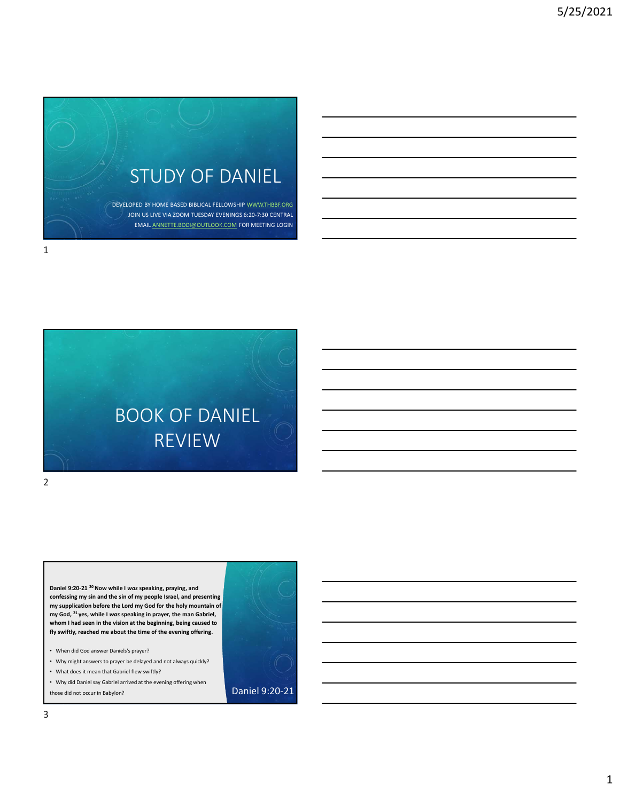

BOOK OF DANIEL REVIEW  $\text{BOOK OF DAMI EL}\footnote{The OOK OF DANIEL}\footnote{The OCKS 24. We will have the same possible to be a good case, we can use a good case, we can use a good case, we will use a good case, the most one case, we will use a good case, the most one case, the second case is a good case, the second case is a good case. We will use a good case, we can use a good case, we will use a good case, we will use a good case, the second case is a good case. The second case is a good case, the second case is a good case, the second case is a good case, the second case, the second case is a good case. The second case is a good case, the second case is a good case, the second case, the second case is a good case. The second case is a good case, the second case is a good case, the second case, the second case$  $\begin{array}{|l|l|} \hline \text{BOOK OF DAMIELL} & \text{REVIEW} \\\hline \text{NCEW} & \text{REVIEW} \\\hline \end{array}$ <br>
Condition 2021 <sup>2</sup> <sup>N</sup>ove while I was speaking, graving, and<br>
condition by an anti-beach of my prople forms, and propleme and and presenting<br>
my man Gabriel, a  $\text{BCOK OF DAMIEL}$ <br>  $\text{REVIEW}$ <br>  $\text{New while I was specified, principle and  
convering any neighborhood.}$ <br>  $\text{w}$  weighter show while I was speaking, proving, and<br>  $\text{w}$  weighter show that is in the province and<br>  $\text{w}$  where a the vision at the beginning caused to the beginni

Daniel 9:20-21<sup>20</sup> Now while I was speaking, praying, and confessing my sin and the sin of my people Israel, and presenting fly swiftly, reached me about the time of the evening offering.

2 and 2 and 2 and 2 and 2 and 2 and 2 and 2 and 2 and 2 and 2 and 2 and 2 and 2 and 2 and 2 and 2 and 2 and 2

- When did God answer Daniels's prayer?
- Why might answers to prayer be delayed and not always quickly?
- What does it mean that Gabriel flew swiftly?

• Why did Daniel say Gabriel arrived at the evening offering when<br>those did not occur in Babylon? those did not occur in Babylon?

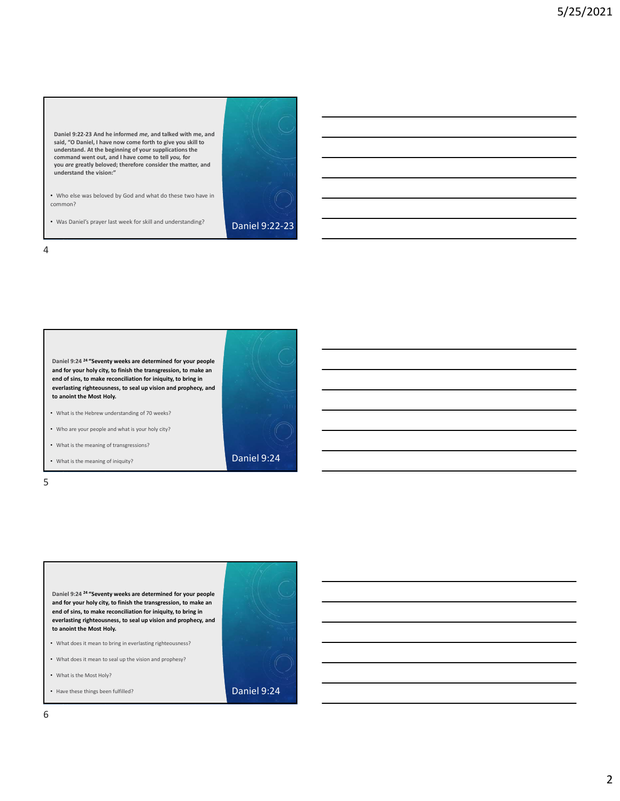Daniel 9:22-23 And he informed me, and talked with me, and said, "O Daniel, I have now come forth to give you skill to understand. At the beginning of your supplications the command went out, and I have come to tell you, for Daniel 9:22-23 And he informed me, and talked with me, and<br>staid, ^0 Daniel, I, have now come forth to give you stail to<br>come for an information with the matter, and<br>you are greatly beloved; therefore consider the matter,

• Who else was beloved by God and what do these two have in common?

• Was Daniel's prayer last week for skill and understanding? **Daniel 9:22-23** 

4



and for your holy city, to finish the transgression, to make an end of sins, to make reconciliation for iniquity, to bring in everlasting righteousness, to seal up vision and prophecy, and

- 
- What does it mean to seal up the vision and prophesy?
- What is the Most Holy?
-